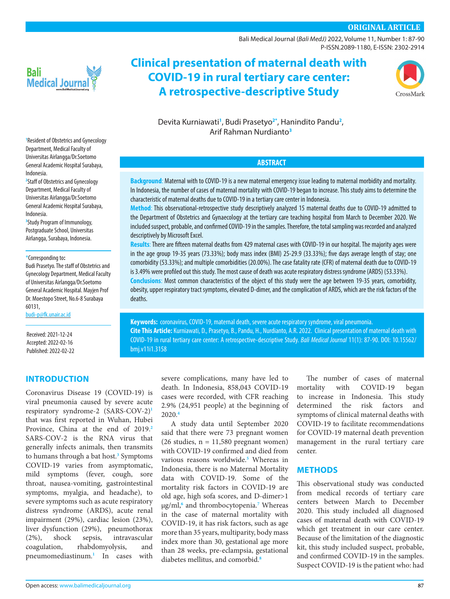# **ORIGINAL ARTICLE**

[Bali Medical Journal](http://www.balimedicaljournal.org/) (*Bali MedJ)* 2022, Volume 11, Number 1: 87-90 P-ISSN.2089-1180, E-ISSN: 2302-2914



# **Clinical presentation of maternal death with COVID-19 in rural tertiary care center: A retrospective-descriptive Study**



Devita Kurniawati**[1](#page-0-0)** , Budi Prasetyo**[2](#page-0-1)[\\*](#page-0-2)** , Hanindito Pandu**[2](#page-0-1)** , Arif Rahman Nurdianto**[3](#page-0-3)**

# **ABSTRACT**

**Background**: Maternal with to COVID-19 is a new maternal emergency issue leading to maternal morbidity and mortality. In Indonesia, the number of cases of maternal mortality with COVID-19 began to increase. This study aims to determine the characteristic of maternal deaths due to COVID-19 in a tertiary care center in Indonesia.

**Method**: This observational-retrospective study descriptively analyzed 15 maternal deaths due to COVID-19 admitted to the Department of Obstetrics and Gynaecology at the tertiary care teaching hospital from March to December 2020. We included suspect, probable, and confirmed COVID-19 in the samples. Therefore, the total sampling was recorded and analyzed descriptively by Microsoft Excel.

**Results**: There are fifteen maternal deaths from 429 maternal cases with COVID-19 in our hospital. The majority ages were in the age group 19-35 years (73.33%); body mass index (BMI) 25-29.9 (33.33%); five days average length of stay; one comorbidity (53.33%); and multiple comorbidities (20.00%). The case fatality rate (CFR) of maternal death due to COVID-19 is 3.49% were profiled out this study. The most cause of death was acute respiratory distress syndrome (ARDS) (53.33%).

**Conclusions**: Most common characteristics of the object of this study were the age between 19-35 years, comorbidity, obesity, upper respiratory tract symptoms, elevated D-dimer, and the complication of ARDS, which are the risk factors of the deaths.

**Keywords:** coronavirus, COVID-19, maternal death, severe acute respiratory syndrome, viral pneumonia. **Cite This Article:** Kurniawati, D., Prasetyo, B., Pandu, H., Nurdianto, A.R. 2022. Clinical presentation of maternal death with COVID-19 in rural tertiary care center: A retrospective-descriptive Study. *Bali Medical Journal* 11(1): 87-90. DOI: [10.15562/](http://dx.doi.org/10.15562/bmj.v11i1.3158) [bmj.v11i1.3158](http://dx.doi.org/10.15562/bmj.v11i1.3158)

> severe complications, many have led to death. In Indonesia, 858,043 COVID-19 cases were recorded, with CFR reaching 2.9% (24,951 people) at the beginning of 2020.**[4](#page-3-2)**

> A study data until September 2020 said that there were 73 pregnant women (26 studies,  $n = 11,580$  pregnant women) with COVID-19 confirmed and died from various reasons worldwide.**[5](#page-3-3)** Whereas in Indonesia, there is no Maternal Mortality data with COVID-19. Some of the mortality risk factors in COVID-19 are old age, high sofa scores, and D-dimer>1 μg/ml,**[6](#page-3-4)** and thrombocytopenia.**[7](#page-3-5)** Whereas in the case of maternal mortality with COVID-19, it has risk factors, such as age more than 35 years, multiparity, body mass index more than 30, gestational age more than 28 weeks, pre-eclampsia, gestational diabetes mellitus, and comorbid.**[8](#page-3-6)**

The number of cases of maternal mortality with COVID-19 began to increase in Indonesia. This study determined the risk factors and symptoms of clinical maternal deaths with COVID-19 to facilitate recommendations for COVID-19 maternal death prevention management in the rural tertiary care center.

#### **METHODS**

This observational study was conducted from medical records of tertiary care centers between March to December 2020. This study included all diagnosed cases of maternal death with COVID-19 which get treatment in our care center. Because of the limitation of the diagnostic kit, this study included suspect, probable, and confirmed COVID-19 in the samples. Suspect COVID-19 is the patient who: had

<span id="page-0-0"></span>**1** Resident of Obstetrics and Gynecology Department, Medical Faculty of Universitas Airlangga/Dr.Soetomo General Academic Hospital Surabaya, Indonesia.

<span id="page-0-1"></span>**2** Staff of Obstetrics and Gynecology Department, Medical Faculty of Universitas Airlangga/Dr.Soetomo General Academic Hospital Surabaya, Indonesia.

<span id="page-0-3"></span>**3** Study Program of Immunology, Postgraduate School, Universitas Airlangga, Surabaya, Indonesia.

#### <span id="page-0-2"></span>\*Corresponding to**:**

Budi Prasetyo. The staff of Obstetrics and Gynecology Department, Medical Faculty of Universitas Airlangga/Dr.Soetomo General Academic Hospital. Mayjen Prof Dr. Moestopo Street, No.6-8 Surabaya 60131,

[budi-p@fk.unair.ac.id](mailto:budi-p@fk.unair.ac.id)

Received: 2021-12-24 Accepted: 2022-02-16 Published: 2022-02-22

# **INTRODUCTION**

Coronavirus Disease 19 (COVID-19) is viral pneumonia caused by severe acute respiratory syndrome-2 (SARS-COV-2)**[1](#page-2-0)** that was first reported in Wuhan, Hubei Province, China at the end of 2019.**[2](#page-3-0)** SARS-COV-2 is the RNA virus that generally infects animals, then transmits to humans through a bat host.**[3](#page-3-1)** Symptoms COVID-19 varies from asymptomatic, mild symptoms (fever, cough, sore throat, nausea-vomiting, gastrointestinal symptoms, myalgia, and headache), to severe symptoms such as acute respiratory distress syndrome (ARDS), acute renal impairment (29%), cardiac lesion (23%), liver dysfunction (29%), pneumothorax (2%), shock sepsis, intravascular coagulation, rhabdomyolysis, and pneumomediastinum.**[1](#page-2-0)** In cases with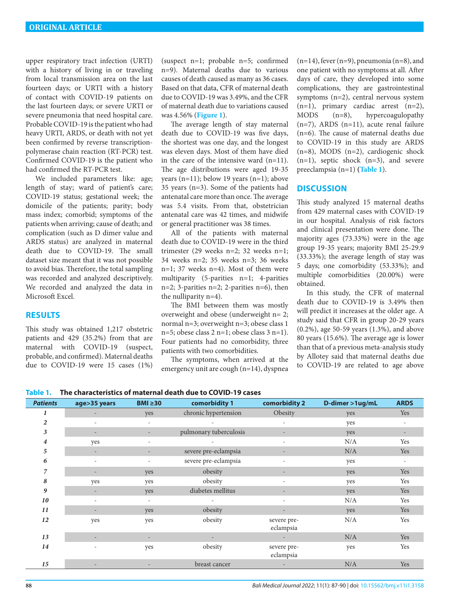upper respiratory tract infection (URTI) with a history of living in or traveling from local transmission area on the last fourteen days; or URTI with a history of contact with COVID-19 patients on the last fourteen days; or severe URTI or severe pneumonia that need hospital care. Probable COVID-19 is the patient who had heavy URTI, ARDS, or death with not yet been confirmed by reverse transcriptionpolymerase chain reaction (RT-PCR) test. Confirmed COVID-19 is the patient who had confirmed the RT-PCR test.

We included parameters like: age; length of stay; ward of patient's care; COVID-19 status; gestational week; the domicile of the patients; parity; body mass index; comorbid; symptoms of the patients when arriving; cause of death; and complication (such as D dimer value and ARDS status) are analyzed in maternal death due to COVID-19. The small dataset size meant that it was not possible to avoid bias. Therefore, the total sampling was recorded and analyzed descriptively. We recorded and analyzed the data in Microsoft Excel.

#### **RESULTS**

This study was obtained 1,217 obstetric patients and 429 (35.2%) from that are maternal with COVID-19 (suspect, probable, and confirmed). Maternal deaths due to COVID-19 were 15 cases (1%) (suspect  $n=1$ ; probable  $n=5$ ; confirmed n=9). Maternal deaths due to various causes of death caused as many as 36 cases. Based on that data, CFR of maternal death due to COVID-19 was 3.49%, and the CFR of maternal death due to variations caused was 4.56% (**[Figure 1](#page-2-1)**).

The average length of stay maternal death due to COVID-19 was five days, the shortest was one day, and the longest was eleven days. Most of them have died in the care of the intensive ward  $(n=11)$ . The age distributions were aged 19-35 years (n=11); below 19 years (n=1); above 35 years (n=3). Some of the patients had antenatal care more than once. The average was 5.4 visits. From that, obstetrician antenatal care was 42 times, and midwife or general practitioner was 38 times.

All of the patients with maternal death due to COVID-19 were in the third trimester (29 weeks n=2; 32 weeks n=1; 34 weeks n=2; 35 weeks n=3; 36 weeks n=1; 37 weeks n=4). Most of them were multiparity (5-parities n=1; 4-parities n=2; 3-parities n=2; 2-parities n=6), then the nulliparity n=4).

The BMI between them was mostly overweight and obese (underweight n= 2; normal n=3; overweight n=3; obese class 1  $n=5$ ; obese class 2 n=1; obese class 3 n=1). Four patients had no comorbidity, three patients with two comorbidities.

The symptoms, when arrived at the emergency unit are cough (n=14), dyspnea  $(n=14)$ , fever  $(n=9)$ , pneumonia  $(n=8)$ , and one patient with no symptoms at all. After days of care, they developed into some complications, they are gastrointestinal symptoms (n=2), central nervous system (n=1), primary cardiac arrest (n=2), MODS (n=8), hypercoagulopathy  $(n=7)$ , ARDS  $(n=11)$ , acute renal failure (n=6). The cause of maternal deaths due to COVID-19 in this study are ARDS (n=8), MODS (n=2), cardiogenic shock (n=1), septic shock (n=3), and severe preeclampsia (n=1) **[\(Table 1](#page-1-0)**).

#### **DISCUSSION**

This study analyzed 15 maternal deaths from 429 maternal cases with COVID-19 in our hospital. Analysis of risk factors and clinical presentation were done. The majority ages (73.33%) were in the age group 19-35 years; majority BMI 25-29.9 (33.33%); the average length of stay was 5 days; one comorbidity (53.33%); and multiple comorbidities (20.00%) were obtained.

In this study, the CFR of maternal death due to COVID-19 is 3.49% then will predict it increases at the older age. A study said that CFR in group 20-29 years (0.2%), age 50-59 years (1.3%), and above 80 years (15.6%). The average age is lower than that of a previous meta-analysis study by Allotey said that maternal deaths due to COVID-19 are related to age above

<span id="page-1-0"></span>**Table 1. The characteristics of maternal death due to COVID-19 cases**

| <b>Patients</b> | age>35 years             | $BMI \geq 30$            | comorbidity 1          | comorbidity 2            | D-dimer >1ug/mL | <b>ARDS</b>              |
|-----------------|--------------------------|--------------------------|------------------------|--------------------------|-----------------|--------------------------|
| 1               |                          | yes                      | chronic hypertension   | Obesity                  | yes             | Yes                      |
| $\overline{2}$  | $\qquad \qquad =$        | $\overline{\phantom{a}}$ |                        | $\overline{\phantom{a}}$ | yes             |                          |
| 3               |                          |                          | pulmonary tuberculosis | -                        | yes             | Ξ.                       |
| 4               | yes                      | $\overline{\phantom{a}}$ |                        | $\overline{\phantom{a}}$ | N/A             | Yes                      |
| 5               | $\overline{\phantom{a}}$ |                          | severe pre-eclampsia   |                          | N/A             | Yes                      |
| 6               | $\overline{\phantom{a}}$ |                          | severe pre-eclampsia   | $\overline{\phantom{a}}$ | yes             | $\overline{\phantom{a}}$ |
| 7               |                          | yes                      | obesity                | $\overline{\phantom{a}}$ | yes             | Yes                      |
| 8               | yes                      | yes                      | obesity                | $\overline{\phantom{a}}$ | yes             | Yes                      |
| 9               |                          | yes                      | diabetes mellitus      | $\qquad \qquad -$        | yes             | Yes                      |
| 10              | ۰                        | $\overline{\phantom{a}}$ |                        | $\overline{\phantom{a}}$ | N/A             | Yes                      |
| 11              |                          | yes                      | obesity                |                          | yes             | Yes                      |
| 12              | yes                      | yes                      | obesity                | severe pre-<br>eclampsia | N/A             | Yes                      |
| 13              |                          |                          |                        | $\sim$                   | N/A             | Yes                      |
| 14              | $\overline{\phantom{a}}$ | yes                      | obesity                | severe pre-<br>eclampsia | yes             | Yes                      |
| 15              | $\overline{\phantom{a}}$ | $\overline{\phantom{m}}$ | breast cancer          | $\overline{\phantom{a}}$ | N/A             | Yes                      |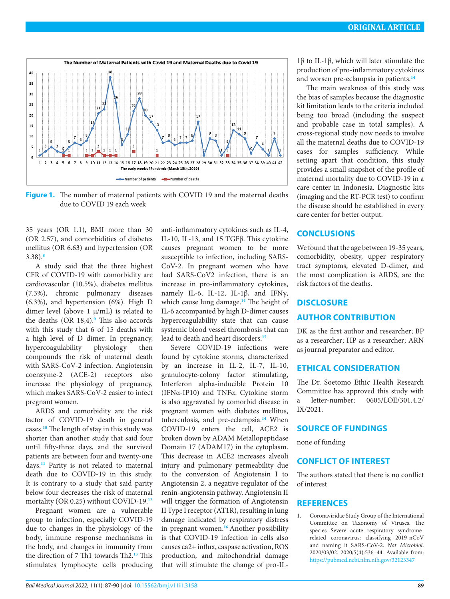

<span id="page-2-1"></span>**Figure 1.** The number of maternal patients with COVID 19 and the maternal deaths due to COVID 19 each week

35 years (OR 1.1), BMI more than 30 (OR 2.57), and comorbidities of diabetes mellitus (OR 6.63) and hypertension (OR 3.38).**[8](#page-3-6)**

A study said that the three highest CFR of COVID-19 with comorbidity are cardiovascular (10.5%), diabetes mellitus (7.3%), chronic pulmonary diseases (6.3%), and hypertension (6%). High D dimer level (above 1  $\mu$ /mL) is related to the deaths (OR 18,4).**[9](#page-3-7)** This also accords with this study that 6 of 15 deaths with a high level of D dimer. In pregnancy, hypercoagulability physiology then compounds the risk of maternal death with SARS-CoV-2 infection. Angiotensin coenzyme-2 (ACE-2) receptors also increase the physiology of pregnancy, which makes SARS-CoV-2 easier to infect pregnant women.

ARDS and comorbidity are the risk factor of COVID-19 death in general cases.**[10](#page-3-8)** The length of stay in this study was shorter than another study that said four until fifty-three days, and the survived patients are between four and twenty-one days.**[11](#page-3-9)** Parity is not related to maternal death due to COVID-19 in this study. It is contrary to a study that said parity below four decreases the risk of maternal mortality (OR 0.25) without COVID-19.**[12](#page-3-10)**

Pregnant women are a vulnerable group to infection, especially COVID-19 due to changes in the physiology of the body, immune response mechanisms in the body, and changes in immunity from the direction of 7 Th1 towards Th2.**[13](#page-3-11)** This stimulates lymphocyte cells producing

anti-inflammatory cytokines such as IL-4, IL-10, IL-13, and 15 TGFβ. This cytokine causes pregnant women to be more susceptible to infection, including SARS-CoV-2. In pregnant women who have had SARS-CoV2 infection, there is an increase in pro-inflammatory cytokines, namely IL-6, IL-12, IL-1β, and IFNγ, which cause lung damage.**[14](#page-3-12)** The height of IL-6 accompanied by high D-dimer causes hypercoagulability state that can cause systemic blood vessel thrombosis that can lead to death and heart disorders.**[15](#page-3-13)**

Severe COVID-19 infections were found by cytokine storms, characterized by an increase in IL-2, IL-7, IL-10, granulocyte-colony factor stimulating, Interferon alpha-inducible Protein 10 (IFNα-IP10) and TNFα. Cytokine storm is also aggravated by comorbid disease in pregnant women with diabetes mellitus, tuberculosis, and pre-eclampsia.**[14](#page-3-12)** When COVID-19 enters the cell, ACE2 is broken down by ADAM Metallopeptidase Domain 17 (ADAM17) in the cytoplasm. This decrease in ACE2 increases alveoli injury and pulmonary permeability due to the conversion of Angiotensin I to Angiotensin 2, a negative regulator of the renin-angiotensin pathway. Angiotensin II will trigger the formation of Angiotensin II Type I receptor (AT1R), resulting in lung damage indicated by respiratory distress in pregnant women.**[16](#page-3-14)** Another possibility is that COVID-19 infection in cells also causes ca2+ influx, caspase activation, ROS production, and mitochondrial damage that will stimulate the change of pro-IL-

1β to IL-1β, which will later stimulate the production of pro-inflammatory cytokines and worsen pre-eclampsia in patients.**[14](#page-3-12)**

The main weakness of this study was the bias of samples because the diagnostic kit limitation leads to the criteria included being too broad (including the suspect and probable case in total samples). A cross-regional study now needs to involve all the maternal deaths due to COVID-19 cases for samples sufficiency. While setting apart that condition, this study provides a small snapshot of the profile of maternal mortality due to COVID-19 in a care center in Indonesia. Diagnostic kits (imaging and the RT-PCR test) to confirm the disease should be established in every care center for better output.

#### **CONCLUSIONS**

We found that the age between 19-35 years, comorbidity, obesity, upper respiratory tract symptoms, elevated D-dimer, and the most complication is ARDS, are the risk factors of the deaths.

#### **DISCLOSURE**

#### **AUTHOR CONTRIBUTION**

DK as the first author and researcher; BP as a researcher; HP as a researcher; ARN as journal preparator and editor.

## **ETHICAL CONSIDERATION**

The Dr. Soetomo Ethic Health Research Committee has approved this study with a letter-number: 0605/LOE/301.4.2/ IX/2021.

# **SOURCE OF FUNDINGS**

none of funding

#### **CONFLICT OF INTEREST**

The authors stated that there is no conflict of interest

#### **REFERENCES**

<span id="page-2-0"></span>1. Coronaviridae Study Group of the International Committee on Taxonomy of Viruses. The species Severe acute respiratory syndromerelated coronavirus: classifying 2019-nCoV and naming it SARS-CoV-2. *Nat Microbiol*. 2020/03/02. 2020;5(4):536–44. Available from: <https://pubmed.ncbi.nlm.nih.gov/32123347>